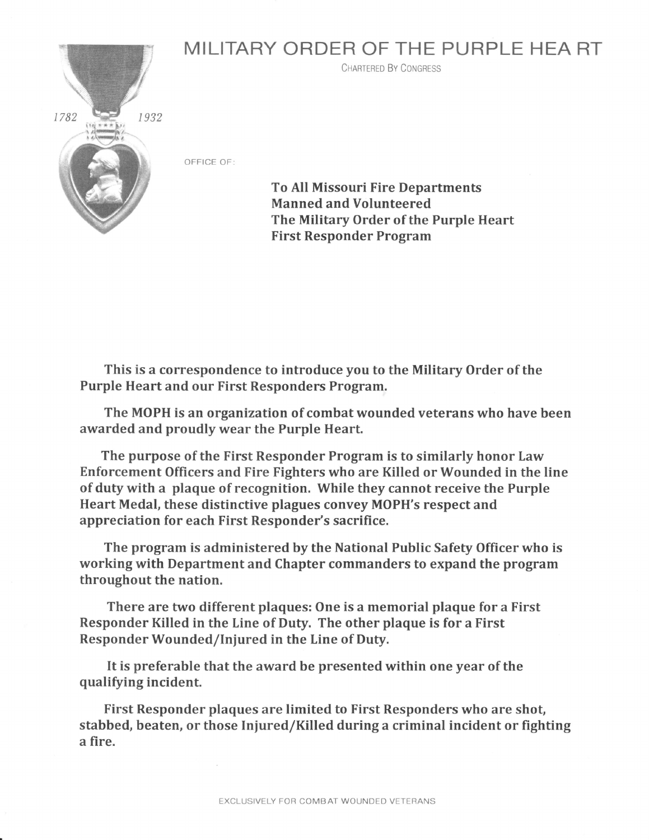## MILITARY ORDER OF THE PURPLE HEA RT



CHARTERED BY CONGRESS

OFFICE OF:

To All Missouri Fire Departments Manned and Volunteered The Military Order of the Purple Heart First Responder Program

This is a correspondence to introduce you to the Military Order of the Purple Heart and our First Responders Program.

The MOPH is an organization of combat wounded veterans who have been awarded and proudly wear the Purple Heart.

The purpose of the First Responder Program is to similarly honor Law Enforcement Officers and Fire Fighters who are Killed or Wounded in the line of duty with a plaque of recognition. While they cannot receive the Purple Heart Medal, these distinctive plagues convey MOPH's respect and appreciation for each First Responder's sacrifice.

The program is administered by the National Public Safety Officer who is working with Department and Chapter commanders to expand the program throughout the nation.

There are two different plaques: One is a memorial plaque for a First Responder Killed in the Line of Duty. The other plaque is for a First Responder Wounded/Iniured in the Line of Duty.

It is preferable that the award be presented within one year of the qualifying incident.

First Responder plaques are limited to First Responders who are shot, stabbed, beaten, or those Iniured/Killed during a criminal incident or fighting a fire.